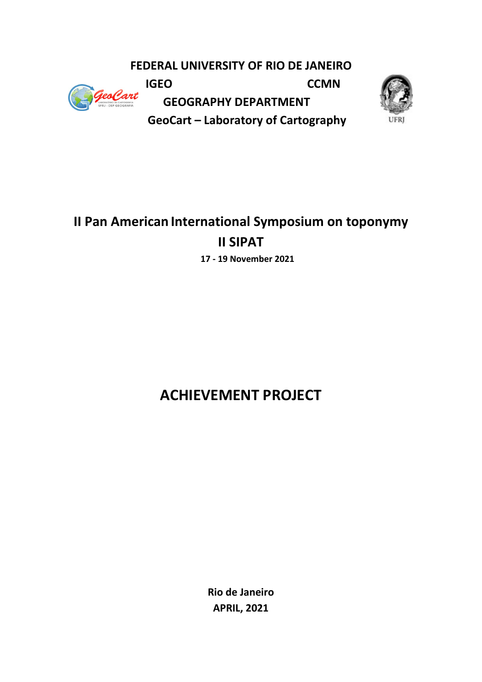**FEDERAL UNIVERSITY OF RIO DE JANEIRO** 



**IGEO** CCMN  **GEOGRAPHY DEPARTMENT GeoCart – Laboratory of Cartography**



## **II Pan American International Symposium on toponymy II SIPAT 17 - 19 November 2021**

# **ACHIEVEMENT PROJECT**

**Rio de Janeiro APRIL, 2021**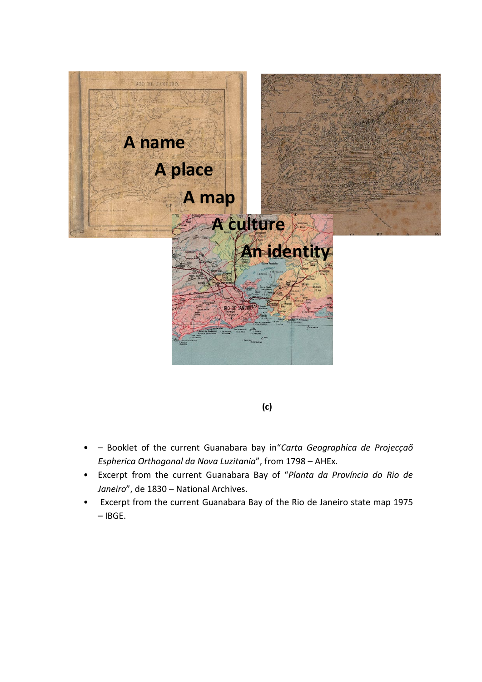

**(c)**

- – Booklet of the current Guanabara bay in"*Carta Geographica de Projecçaõ Espherica Orthogonal da Nova Luzitania*", from 1798 – AHEx.
- Excerpt from the current Guanabara Bay of "*Planta da Província do Rio de Janeiro*", de 1830 – National Archives.
- Excerpt from the current Guanabara Bay of the Rio de Janeiro state map 1975 – IBGE.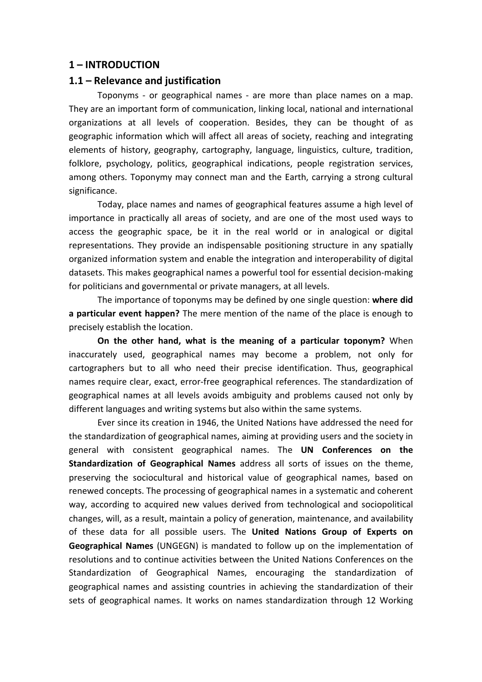## **1 – INTRODUCTION**

#### **1.1 – Relevance and justification**

Toponyms - or geographical names - are more than place names on a map. They are an important form of communication, linking local, national and international organizations at all levels of cooperation. Besides, they can be thought of as geographic information which will affect all areas of society, reaching and integrating elements of history, geography, cartography, language, linguistics, culture, tradition, folklore, psychology, politics, geographical indications, people registration services, among others. Toponymy may connect man and the Earth, carrying a strong cultural significance.

Today, place names and names of geographical features assume a high level of importance in practically all areas of society, and are one of the most used ways to access the geographic space, be it in the real world or in analogical or digital representations. They provide an indispensable positioning structure in any spatially organized information system and enable the integration and interoperability of digital datasets. This makes geographical names a powerful tool for essential decision-making for politicians and governmental or private managers, at all levels.

The importance of toponyms may be defined by one single question: **where did a particular event happen?** The mere mention of the name of the place is enough to precisely establish the location.

**On the other hand, what is the meaning of a particular toponym?** When inaccurately used, geographical names may become a problem, not only for cartographers but to all who need their precise identification. Thus, geographical names require clear, exact, error-free geographical references. The standardization of geographical names at all levels avoids ambiguity and problems caused not only by different languages and writing systems but also within the same systems.

Ever since its creation in 1946, the United Nations have addressed the need for the standardization of geographical names, aiming at providing users and the society in general with consistent geographical names. The **UN Conferences on the Standardization of Geographical Names** address all sorts of issues on the theme, preserving the sociocultural and historical value of geographical names, based on renewed concepts. The processing of geographical names in a systematic and coherent way, according to acquired new values derived from technological and sociopolitical changes, will, as a result, maintain a policy of generation, maintenance, and availability of these data for all possible users. The **United Nations Group of Experts on Geographical Names** (UNGEGN) is mandated to follow up on the implementation of resolutions and to continue activities between the United Nations Conferences on the Standardization of Geographical Names, encouraging the standardization of geographical names and assisting countries in achieving the standardization of their sets of geographical names. It works on names standardization through 12 Working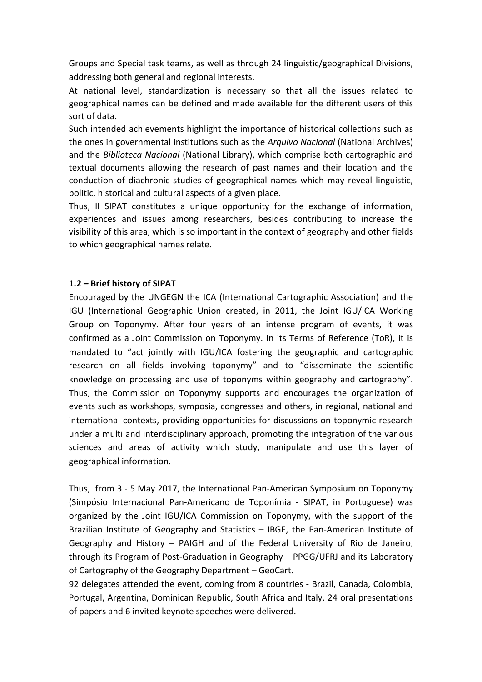Groups and Special task teams, as well as through 24 linguistic/geographical Divisions, addressing both general and regional interests.

At national level, standardization is necessary so that all the issues related to geographical names can be defined and made available for the different users of this sort of data.

Such intended achievements highlight the importance of historical collections such as the ones in governmental institutions such as the *Arquivo Nacional* (National Archives) and the *Biblioteca Nacional* (National Library), which comprise both cartographic and textual documents allowing the research of past names and their location and the conduction of diachronic studies of geographical names which may reveal linguistic, politic, historical and cultural aspects of a given place.

Thus, II SIPAT constitutes a unique opportunity for the exchange of information, experiences and issues among researchers, besides contributing to increase the visibility of this area, which is so important in the context of geography and other fields to which geographical names relate.

## **1.2 – Brief history of SIPAT**

Encouraged by the UNGEGN the ICA (International Cartographic Association) and the IGU (International Geographic Union created, in 2011, the Joint IGU/ICA Working Group on Toponymy. After four years of an intense program of events, it was confirmed as a Joint Commission on Toponymy. In its Terms of Reference (ToR), it is mandated to "act jointly with IGU/ICA fostering the geographic and cartographic research on all fields involving toponymy" and to "disseminate the scientific knowledge on processing and use of toponyms within geography and cartography". Thus, the Commission on Toponymy supports and encourages the organization of events such as workshops, symposia, congresses and others, in regional, national and international contexts, providing opportunities for discussions on toponymic research under a multi and interdisciplinary approach, promoting the integration of the various sciences and areas of activity which study, manipulate and use this layer of geographical information.

Thus, from 3 - 5 May 2017, the International Pan-American Symposium on Toponymy (Simpósio Internacional Pan-Americano de Toponímia - SIPAT, in Portuguese) was organized by the Joint IGU/ICA Commission on Toponymy, with the support of the Brazilian Institute of Geography and Statistics – IBGE, the Pan-American Institute of Geography and History – PAIGH and of the Federal University of Rio de Janeiro, through its Program of Post-Graduation in Geography – PPGG/UFRJ and its Laboratory of Cartography of the Geography Department – GeoCart.

92 delegates attended the event, coming from 8 countries - Brazil, Canada, Colombia, Portugal, Argentina, Dominican Republic, South Africa and Italy. 24 oral presentations of papers and 6 invited keynote speeches were delivered.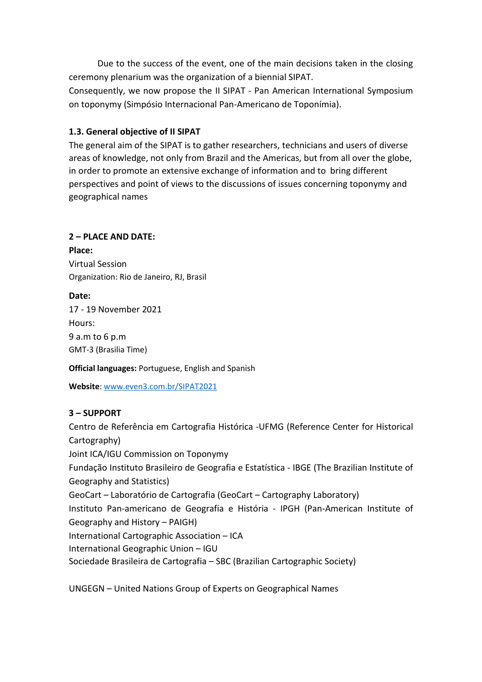Due to the success of the event, one of the main decisions taken in the closing ceremony plenarium was the organization of a biennial SIPAT.

Consequently, we now propose the II SIPAT - Pan American International Symposium on toponymy (Simpósio Internacional Pan-Americano de Toponímia).

## **1.3. General objective of II SIPAT**

The general aim of the SIPAT is to gather researchers, technicians and users of diverse areas of knowledge, not only from Brazil and the Americas, but from all over the globe, in order to promote an extensive exchange of information and to bring different perspectives and point of views to the discussions of issues concerning toponymy and geographical names

## **2 – PLACE AND DATE:**

**Place:**  Virtual Session Organization: Rio de Janeiro, RJ, Brasil

## **Date:**

17 - 19 November 2021 Hours: 9 a.m to 6 p.m GMT-3 (Brasilia Time)

**Official languages:** Portuguese, English and Spanish

**Website**: [www.even3.com.br/SIPAT2021](http://www.even3.com.br/SIPAT2021)

## **3 – SUPPORT**

Centro de Referência em Cartografia Histórica -UFMG (Reference Center for Historical Cartography) Joint ICA/IGU Commission on Toponymy Fundação Instituto Brasileiro de Geografia e Estatística - IBGE (The Brazilian Institute of Geography and Statistics) GeoCart – Laboratório de Cartografia (GeoCart – Cartography Laboratory) Instituto Pan-americano de Geografia e História - IPGH (Pan-American Institute of Geography and History – PAIGH) International Cartographic Association – ICA International Geographic Union – IGU Sociedade Brasileira de Cartografia – SBC (Brazilian Cartographic Society)

UNGEGN – United Nations Group of Experts on Geographical Names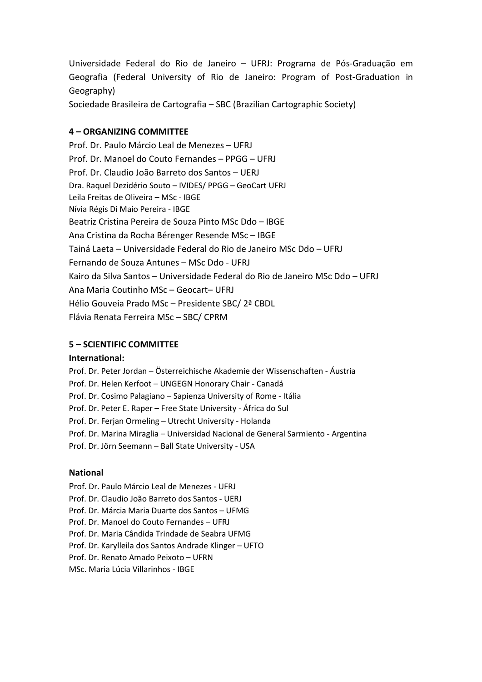Universidade Federal do Rio de Janeiro – UFRJ: Programa de Pós-Graduação em Geografia (Federal University of Rio de Janeiro: Program of Post-Graduation in Geography)

Sociedade Brasileira de Cartografia – SBC (Brazilian Cartographic Society)

## **4 – ORGANIZING COMMITTEE**

Prof. Dr. Paulo Márcio Leal de Menezes – UFRJ Prof. Dr. Manoel do Couto Fernandes – PPGG – UFRJ Prof. Dr. Claudio João Barreto dos Santos – UERJ Dra. Raquel Dezidério Souto – IVIDES/ PPGG – GeoCart UFRJ Leila Freitas de Oliveira – MSc - IBGE Nívia Régis Di Maio Pereira - IBGE Beatriz Cristina Pereira de Souza Pinto MSc Ddo – IBGE Ana Cristina da Rocha Bérenger Resende MSc – IBGE Tainá Laeta – Universidade Federal do Rio de Janeiro MSc Ddo – UFRJ Fernando de Souza Antunes – MSc Ddo - UFRJ Kairo da Silva Santos – Universidade Federal do Rio de Janeiro MSc Ddo – UFRJ Ana Maria Coutinho MSc – Geocart– UFRJ Hélio Gouveia Prado MSc – Presidente SBC/ 2ª CBDL Flávia Renata Ferreira MSc – SBC/ CPRM

#### **5 – SCIENTIFIC COMMITTEE**

#### **International:**

Prof. Dr. Peter Jordan – Österreichische Akademie der Wissenschaften - Áustria Prof. Dr. Helen Kerfoot – UNGEGN Honorary Chair - Canadá Prof. Dr. Cosimo Palagiano – Sapienza University of Rome - Itália Prof. Dr. Peter E. Raper – Free State University - África do Sul Prof. Dr. Ferjan Ormeling – Utrecht University - Holanda Prof. Dr. Marina Miraglia – Universidad Nacional de General Sarmiento - Argentina Prof. Dr. Jörn Seemann – Ball State University - USA

#### **National**

Prof. Dr. Paulo Márcio Leal de Menezes - UFRJ Prof. Dr. Claudio João Barreto dos Santos - UERJ Prof. Dr. Márcia Maria Duarte dos Santos – UFMG Prof. Dr. Manoel do Couto Fernandes – UFRJ Prof. Dr. Maria Cândida Trindade de Seabra UFMG Prof. Dr. Karylleila dos Santos Andrade Klinger – UFTO Prof. Dr. Renato Amado Peixoto – UFRN MSc. Maria Lúcia Villarinhos - IBGE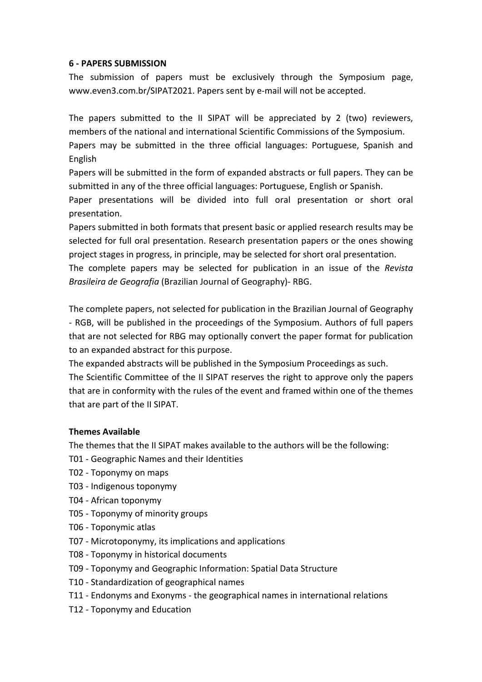#### **6 - PAPERS SUBMISSION**

The submission of papers must be exclusively through the Symposium page, www.even3.com.br/SIPAT2021. Papers sent by e-mail will not be accepted.

The papers submitted to the II SIPAT will be appreciated by 2 (two) reviewers, members of the national and international Scientific Commissions of the Symposium.

Papers may be submitted in the three official languages: Portuguese, Spanish and English

Papers will be submitted in the form of expanded abstracts or full papers. They can be submitted in any of the three official languages: Portuguese, English or Spanish.

Paper presentations will be divided into full oral presentation or short oral presentation.

Papers submitted in both formats that present basic or applied research results may be selected for full oral presentation. Research presentation papers or the ones showing project stages in progress, in principle, may be selected for short oral presentation.

The complete papers may be selected for publication in an issue of the *Revista Brasileira de Geografia* (Brazilian Journal of Geography)- RBG.

The complete papers, not selected for publication in the Brazilian Journal of Geography - RGB, will be published in the proceedings of the Symposium. Authors of full papers that are not selected for RBG may optionally convert the paper format for publication to an expanded abstract for this purpose.

The expanded abstracts will be published in the Symposium Proceedings as such. The Scientific Committee of the II SIPAT reserves the right to approve only the papers that are in conformity with the rules of the event and framed within one of the themes that are part of the II SIPAT.

## **Themes Available**

The themes that the II SIPAT makes available to the authors will be the following:

- T01 Geographic Names and their Identities
- T02 Toponymy on maps
- T03 Indigenous toponymy
- T04 African toponymy
- T05 Toponymy of minority groups
- T06 Toponymic atlas
- T07 Microtoponymy, its implications and applications
- T08 Toponymy in historical documents
- T09 Toponymy and Geographic Information: Spatial Data Structure
- T10 Standardization of geographical names
- T11 Endonyms and Exonyms the geographical names in international relations
- T12 Toponymy and Education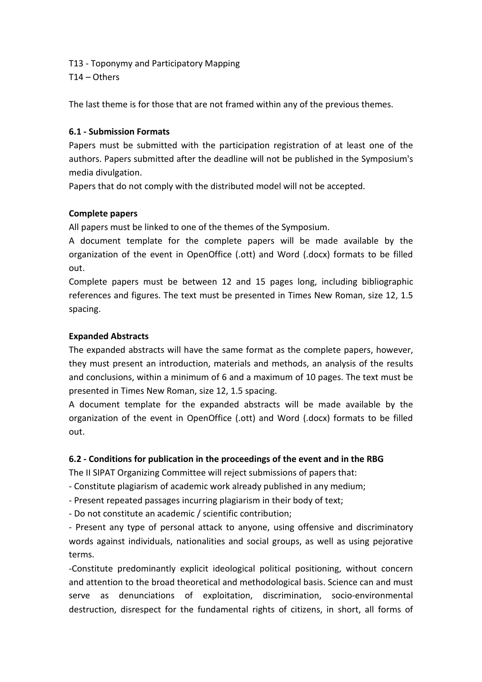- T13 Toponymy and Participatory Mapping
- T14 Others

The last theme is for those that are not framed within any of the previous themes.

## **6.1 - Submission Formats**

Papers must be submitted with the participation registration of at least one of the authors. Papers submitted after the deadline will not be published in the Symposium's media divulgation.

Papers that do not comply with the distributed model will not be accepted.

## **Complete papers**

All papers must be linked to one of the themes of the Symposium.

A document template for the complete papers will be made available by the organization of the event in OpenOffice (.ott) and Word (.docx) formats to be filled out.

Complete papers must be between 12 and 15 pages long, including bibliographic references and figures. The text must be presented in Times New Roman, size 12, 1.5 spacing.

## **Expanded Abstracts**

The expanded abstracts will have the same format as the complete papers, however, they must present an introduction, materials and methods, an analysis of the results and conclusions, within a minimum of 6 and a maximum of 10 pages. The text must be presented in Times New Roman, size 12, 1.5 spacing.

A document template for the expanded abstracts will be made available by the organization of the event in OpenOffice (.ott) and Word (.docx) formats to be filled out.

## **6.2 - Conditions for publication in the proceedings of the event and in the RBG**

The II SIPAT Organizing Committee will reject submissions of papers that:

- Constitute plagiarism of academic work already published in any medium;

- Present repeated passages incurring plagiarism in their body of text;

- Do not constitute an academic / scientific contribution;

- Present any type of personal attack to anyone, using offensive and discriminatory words against individuals, nationalities and social groups, as well as using pejorative terms.

-Constitute predominantly explicit ideological political positioning, without concern and attention to the broad theoretical and methodological basis. Science can and must serve as denunciations of exploitation, discrimination, socio-environmental destruction, disrespect for the fundamental rights of citizens, in short, all forms of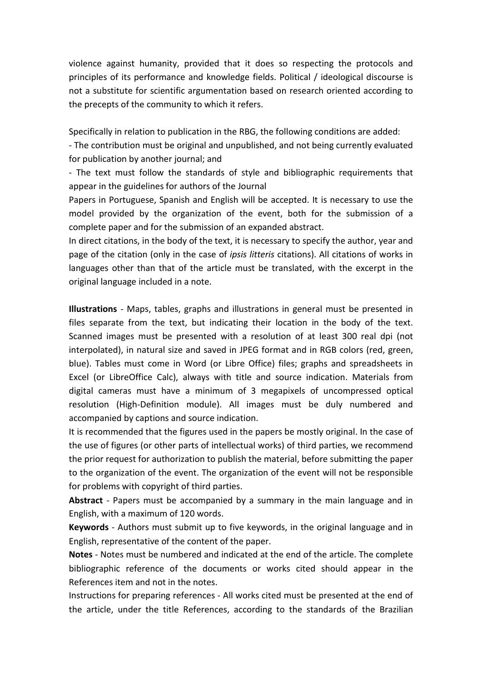violence against humanity, provided that it does so respecting the protocols and principles of its performance and knowledge fields. Political / ideological discourse is not a substitute for scientific argumentation based on research oriented according to the precepts of the community to which it refers.

Specifically in relation to publication in the RBG, the following conditions are added:

- The contribution must be original and unpublished, and not being currently evaluated for publication by another journal; and

- The text must follow the standards of style and bibliographic requirements that appear in the guidelines for authors of the Journal

Papers in Portuguese, Spanish and English will be accepted. It is necessary to use the model provided by the organization of the event, both for the submission of a complete paper and for the submission of an expanded abstract.

In direct citations, in the body of the text, it is necessary to specify the author, year and page of the citation (only in the case of *ipsis litteris* citations). All citations of works in languages other than that of the article must be translated, with the excerpt in the original language included in a note.

**Illustrations** - Maps, tables, graphs and illustrations in general must be presented in files separate from the text, but indicating their location in the body of the text. Scanned images must be presented with a resolution of at least 300 real dpi (not interpolated), in natural size and saved in JPEG format and in RGB colors (red, green, blue). Tables must come in Word (or Libre Office) files; graphs and spreadsheets in Excel (or LibreOffice Calc), always with title and source indication. Materials from digital cameras must have a minimum of 3 megapixels of uncompressed optical resolution (High-Definition module). All images must be duly numbered and accompanied by captions and source indication.

It is recommended that the figures used in the papers be mostly original. In the case of the use of figures (or other parts of intellectual works) of third parties, we recommend the prior request for authorization to publish the material, before submitting the paper to the organization of the event. The organization of the event will not be responsible for problems with copyright of third parties.

**Abstract** - Papers must be accompanied by a summary in the main language and in English, with a maximum of 120 words.

**Keywords** - Authors must submit up to five keywords, in the original language and in English, representative of the content of the paper.

**Notes** - Notes must be numbered and indicated at the end of the article. The complete bibliographic reference of the documents or works cited should appear in the References item and not in the notes.

Instructions for preparing references - All works cited must be presented at the end of the article, under the title References, according to the standards of the Brazilian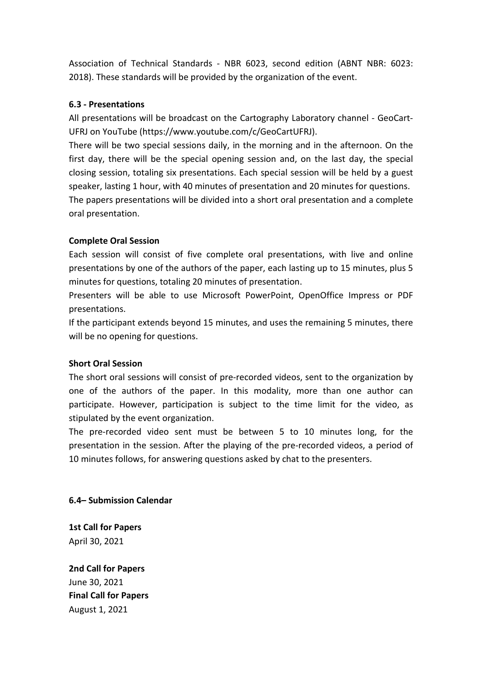Association of Technical Standards - NBR 6023, second edition (ABNT NBR: 6023: 2018). These standards will be provided by the organization of the event.

## **6.3 - Presentations**

All presentations will be broadcast on the Cartography Laboratory channel - GeoCart-UFRJ on YouTube [\(https://www.youtube.com/c/GeoCartUFRJ\)](https://www.youtube.com/c/GeoCartUFRJ).

There will be two special sessions daily, in the morning and in the afternoon. On the first day, there will be the special opening session and, on the last day, the special closing session, totaling six presentations. Each special session will be held by a guest speaker, lasting 1 hour, with 40 minutes of presentation and 20 minutes for questions. The papers presentations will be divided into a short oral presentation and a complete oral presentation.

## **Complete Oral Session**

Each session will consist of five complete oral presentations, with live and online presentations by one of the authors of the paper, each lasting up to 15 minutes, plus 5 minutes for questions, totaling 20 minutes of presentation.

Presenters will be able to use Microsoft PowerPoint, OpenOffice Impress or PDF presentations.

If the participant extends beyond 15 minutes, and uses the remaining 5 minutes, there will be no opening for questions.

## **Short Oral Session**

The short oral sessions will consist of pre-recorded videos, sent to the organization by one of the authors of the paper. In this modality, more than one author can participate. However, participation is subject to the time limit for the video, as stipulated by the event organization.

The pre-recorded video sent must be between 5 to 10 minutes long, for the presentation in the session. After the playing of the pre-recorded videos, a period of 10 minutes follows, for answering questions asked by chat to the presenters.

**6.4– Submission Calendar**

**1st Call for Papers** April 30, 2021

**2nd Call for Papers** June 30, 2021 **Final Call for Papers** August 1, 2021